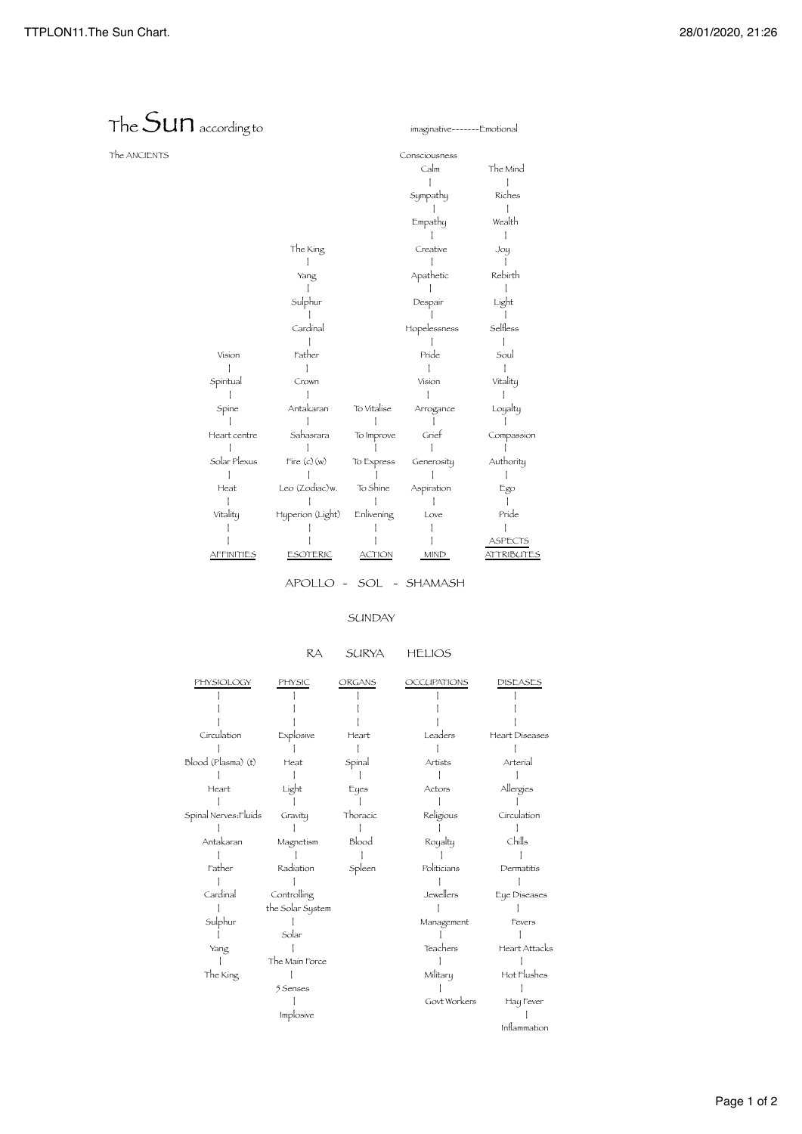## The Sunaccording to imaginative-------Emotional The ANCIENTS Consciousness Calm The Mind | | Sympathy Riches | | Empathy Wealth | | The King Creative Joy<br>
| Creative Joy<br>
| | | | | Yang Apathetic Rebirth | | | Sulphur Despair Light | | | Cardinal Hopelessness Selfless | | | Vision Father Pride Soul | | | | Spiritual Crown Vision Vitality | | | | Spine Antakaran To Vitalise Arrogance Loyalty | | | | | Heart centre Sahasrara To Improve Grief Compassion | | | | | Solar Plexus Fire (c)(w) To Express Generosity Authority | | | | | Leo (Zodiac)w. To Shine Aspiration | | | | | | Vitality Hyperion (Light) Enlivening Love Pride | | | | | | | | | ASPECTS AFFINITIES ESOTERIC ACTION MIND ATTRIBUTES

APOLLO - SOL - SHAMASH

## SUNDAY

## RA SURYA HELIOS

| PHYSIOLOGY            | PHYSIC           | ORGANS   | <b>OCCUPATIONS</b> | DISEASES       |
|-----------------------|------------------|----------|--------------------|----------------|
|                       |                  |          |                    |                |
|                       |                  |          |                    |                |
|                       |                  |          |                    |                |
| Circulation           | Explosive        | Heart    | Leaders            | Heart Diseases |
|                       |                  |          |                    |                |
| Blood (Plasma) (t)    | Heat             | Spinal   | Artists            | Arterial       |
|                       |                  |          |                    |                |
| Heart                 | Light            | Eyes     | Actors             | Allergies      |
|                       |                  |          |                    |                |
| Spinal Nerves: Fluids | Gravity          | Thoracic | Religious          | Circulation    |
|                       |                  |          |                    |                |
| Antakaran             | Magnetism        | Blood    | Royalty            | Chills         |
|                       |                  |          |                    |                |
| Father                | Radiation        | Spleen   | Politicians        | Dermatitis     |
|                       |                  |          |                    |                |
| Cardinal              | Controlling      |          | Jewellers          | Eye Diseases   |
|                       | the Solar System |          |                    |                |
| Sulphur               |                  |          | Management         | Fevers         |
|                       | Solar            |          |                    |                |
| Yang                  |                  |          | Teachers           | Heart Attacks  |
|                       | The Main Force   |          |                    |                |
| The King              |                  |          | Military           | Hot Flushes    |
|                       | 5 Senses         |          |                    |                |
|                       |                  |          | Govt Workers       | Hay Fever      |
|                       | Implosive        |          |                    |                |
|                       |                  |          |                    | Inflammation   |